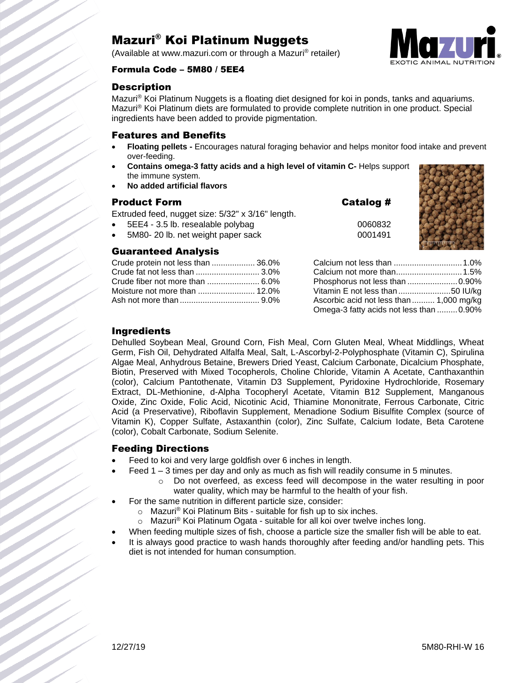# Mazuri® Koi Platinum Nuggets

(Available at www.mazuri.com or through a Mazuri® retailer)



#### Formula Code – 5M80 / 5EE4

#### **Description**

Mazuri® Koi Platinum Nuggets is a floating diet designed for koi in ponds, tanks and aquariums. Mazuri® Koi Platinum diets are formulated to provide complete nutrition in one product. Special ingredients have been added to provide pigmentation.

#### Features and Benefits

- **Floating pellets -** Encourages natural foraging behavior and helps monitor food intake and prevent over-feeding.
- **Contains omega-3 fatty acids and a high level of vitamin C-** Helps support the immune system.
- **No added artificial flavors**

#### **Product Form**

Extruded feed, nugget size: 5/32" x 3/16" length.

- $\bullet$  5EE4 3.5 lb. resealable polybag  $0060832$
- 5M80- 20 lb. net weight paper sack 0001491

#### Guaranteed Analysis

| Crude protein not less than  36.0% |  |
|------------------------------------|--|
|                                    |  |
|                                    |  |
|                                    |  |
|                                    |  |

| Catalog # |  |  |
|-----------|--|--|
|-----------|--|--|



| Phosphorus not less than 0.90%           |  |
|------------------------------------------|--|
|                                          |  |
| Ascorbic acid not less than  1,000 mg/kg |  |
| Omega-3 fatty acids not less than  0.90% |  |

### Ingredients

Dehulled Soybean Meal, Ground Corn, Fish Meal, Corn Gluten Meal, Wheat Middlings, Wheat Germ, Fish Oil, Dehydrated Alfalfa Meal, Salt, L-Ascorbyl-2-Polyphosphate (Vitamin C), Spirulina Algae Meal, Anhydrous Betaine, Brewers Dried Yeast, Calcium Carbonate, Dicalcium Phosphate, Biotin, Preserved with Mixed Tocopherols, Choline Chloride, Vitamin A Acetate, Canthaxanthin (color), Calcium Pantothenate, Vitamin D3 Supplement, Pyridoxine Hydrochloride, Rosemary Extract, DL-Methionine, d-Alpha Tocopheryl Acetate, Vitamin B12 Supplement, Manganous Oxide, Zinc Oxide, Folic Acid, Nicotinic Acid, Thiamine Mononitrate, Ferrous Carbonate, Citric Acid (a Preservative), Riboflavin Supplement, Menadione Sodium Bisulfite Complex (source of Vitamin K), Copper Sulfate, Astaxanthin (color), Zinc Sulfate, Calcium Iodate, Beta Carotene (color), Cobalt Carbonate, Sodium Selenite.

## Feeding Directions

- Feed to koi and very large goldfish over 6 inches in length.
	- Feed 1 3 times per day and only as much as fish will readily consume in 5 minutes.
		- o Do not overfeed, as excess feed will decompose in the water resulting in poor water quality, which may be harmful to the health of your fish.
- For the same nutrition in different particle size, consider:
	- o Mazuri® Koi Platinum Bits suitable for fish up to six inches.
	- o Mazuri® Koi Platinum Ogata suitable for all koi over twelve inches long.
- When feeding multiple sizes of fish, choose a particle size the smaller fish will be able to eat.
- It is always good practice to wash hands thoroughly after feeding and/or handling pets. This diet is not intended for human consumption.